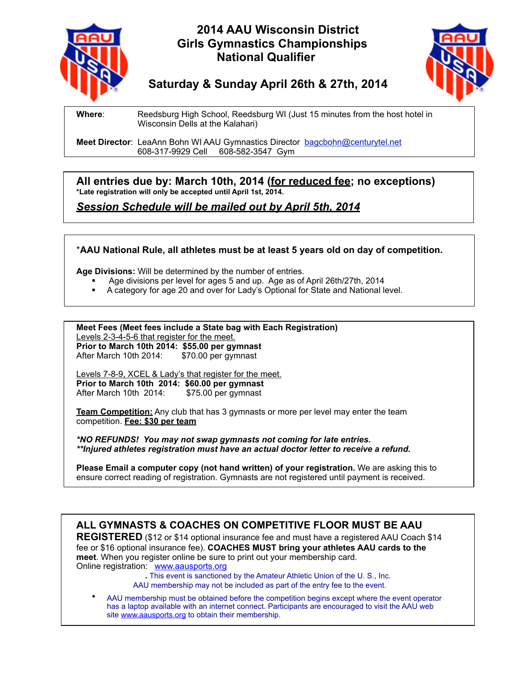

## **2014 AAU Wisconsin District Girls Gymnastics Championships National Qualifier**



# **Saturday & Sunday April 26th & 27th, 2014**

**Where**: Reedsburg High School, Reedsburg WI (Just 15 minutes from the host hotel in Wisconsin Dells at the Kalahari)

**Meet Director**: LeaAnn Bohn WI AAU Gymnastics Director bagcbohn@centurytel.net 608-317-9929 Cell 608-582-3547 Gym

**All entries due by: March 10th, 2014 (for reduced fee; no exceptions) \*Late registration will only be accepted until April 1st, 2014.**

*Session Schedule will be mailed out by April 5th, 2014*

### \***AAU National Rule, all athletes must be at least 5 years old on day of competition.**

**Age Divisions:** Will be determined by the number of entries.

- § Age divisions per level for ages 5 and up. Age as of April 26th/27th, 2014
- § A category for age 20 and over for Lady's Optional for State and National level.

**Meet Fees (Meet fees include a State bag with Each Registration)** Levels 2-3-4-5-6 that register for the meet. **Prior to March 10th 2014: \$55.00 per gymnast** After March 10th 2014: \$70.00 per gymnast

Levels 7-8-9, XCEL & Lady's that register for the meet. **Prior to March 10th 2014: \$60.00 per gymnast** After March 10th 2014:

**Team Competition:** Any club that has 3 gymnasts or more per level may enter the team competition. **Fee: \$30 per team**

*\*NO REFUNDS! You may not swap gymnasts not coming for late entries. \*\*Injured athletes registration must have an actual doctor letter to receive a refund.* 

**Please Email a computer copy (not hand written) of your registration.** We are asking this to ensure correct reading of registration. Gymnasts are not registered until payment is received.

### **ALL GYMNASTS & COACHES ON COMPETITIVE FLOOR MUST BE AAU**

**REGISTERED** (\$12 or \$14 optional insurance fee and must have a registered AAU Coach \$14 fee or \$16 optional insurance fee). **COACHES MUST bring your athletes AAU cards to the meet**. When you register online be sure to print out your membership card. Online registration: www.aausports.org

 **.** This event is sanctioned by the Amateur Athletic Union of the U. S., Inc. AAU membership may not be included as part of the entry fee to the event.

AAU membership must be obtained before the competition begins except where the event operator has a laptop available with an internet connect. Participants are encouraged to visit the AAU web site www.aausports.org to obtain their membership.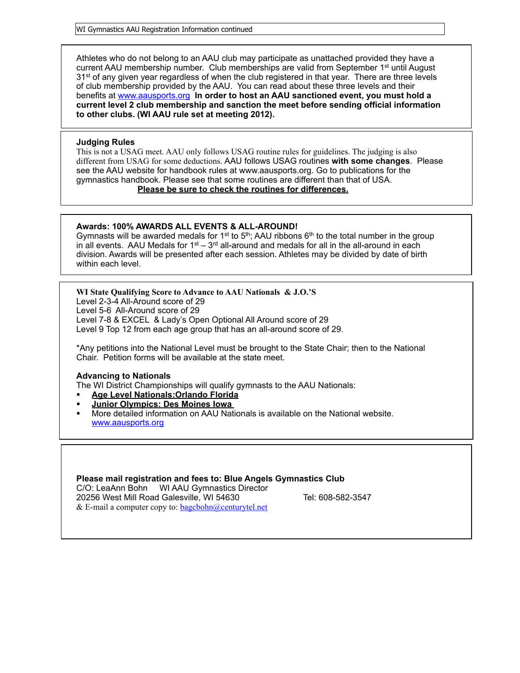WI Gymnastics AAU Registration Information continued

Athletes who do not belong to an AAU club may participate as unattached provided they have a current AAU membership number. Club memberships are valid from September  $1<sup>st</sup>$  until August 31<sup>st</sup> of any given year regardless of when the club registered in that year. There are three levels of club membership provided by the AAU. You can read about these three levels and their benefits at www.aausports.org **In order to host an AAU sanctioned event, you must hold a current level 2 club membership and sanction the meet before sending official information to other clubs. (WI AAU rule set at meeting 2012).** 

#### **Judging Rules**

This is not a USAG meet. AAU only follows USAG routine rules for guidelines. The judging is also different from USAG for some deductions. AAU follows USAG routines **with some changes**. Please see the AAU website for handbook rules at www.aausports.org. Go to publications for the gymnastics handbook. Please see that some routines are different than that of USA. **Please be sure to check the routines for differences.** 

#### **Awards: 100% AWARDS ALL EVENTS & ALL-AROUND!**

Gymnasts will be awarded medals for 1<sup>st</sup> to 5<sup>th</sup>; AAU ribbons 6<sup>th</sup> to the total number in the group in all events. AAU Medals for  $1<sup>st</sup> - 3<sup>rd</sup>$  all-around and medals for all in the all-around in each division. Awards will be presented after each session. Athletes may be divided by date of birth within each level.

**WI State Qualifying Score to Advance to AAU Nationals & J.O.'S** Level 2-3-4 All-Around score of 29

Level 5-6 All-Around score of 29

Level 7-8 & EXCEL & Lady's Open Optional All Around score of 29

Level 9 Top 12 from each age group that has an all-around score of 29.

\*Any petitions into the National Level must be brought to the State Chair; then to the National Chair. Petition forms will be available at the state meet.

#### **Advancing to Nationals**

The WI District Championships will qualify gymnasts to the AAU Nationals:

- § **Age Level Nationals:Orlando Florida**
- § **Junior Olympics: Des Moines Iowa**
- § More detailed information on AAU Nationals is available on the National website. www.aausports.org

**Please mail registration and fees to: Blue Angels Gymnastics Club**  C/O: LeaAnn Bohn WI AAU Gymnastics Director 20256 West Mill Road Galesville, WI 54630 Tel: 608-582-3547

& E-mail a computer copy to:  $bagcbohn@centurytel.net$